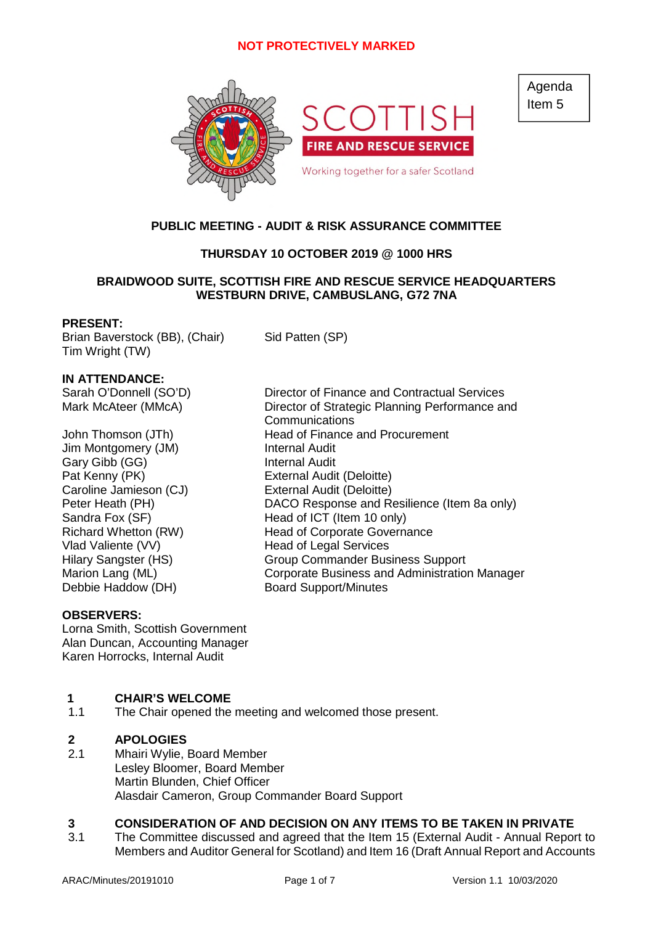

Agenda Item 5

# **PUBLIC MEETING - AUDIT & RISK ASSURANCE COMMITTEE**

# **THURSDAY 10 OCTOBER 2019 @ 1000 HRS**

# **BRAIDWOOD SUITE, SCOTTISH FIRE AND RESCUE SERVICE HEADQUARTERS WESTBURN DRIVE, CAMBUSLANG, G72 7NA**

## **PRESENT:**

Brian Baverstock (BB), (Chair) Sid Patten (SP) Tim Wright (TW)

# **IN ATTENDANCE:**

- Jim Montgomery (JM) Internal Audit Gary Gibb (GG) **Internal Audit** Pat Kenny (PK) External Audit (Deloitte) Caroline Jamieson (CJ) External Audit (Deloitte) Vlad Valiente (VV) Head of Legal Services Debbie Haddow (DH) Board Support/Minutes
- Sarah O'Donnell (SO'D) Director of Finance and Contractual Services Mark McAteer (MMcA) Director of Strategic Planning Performance and Communications John Thomson (JTh) Head of Finance and Procurement Peter Heath (PH) DACO Response and Resilience (Item 8a only) Sandra Fox (SF) Head of ICT (Item 10 only) Richard Whetton (RW) Head of Corporate Governance Hilary Sangster (HS) Group Commander Business Support Marion Lang (ML) Corporate Business and Administration Manager

# **OBSERVERS:**

Lorna Smith, Scottish Government Alan Duncan, Accounting Manager Karen Horrocks, Internal Audit

# **1 CHAIR'S WELCOME**

1.1 The Chair opened the meeting and welcomed those present.

## **2 APOLOGIES**

2.1 Mhairi Wylie, Board Member Lesley Bloomer, Board Member Martin Blunden, Chief Officer Alasdair Cameron, Group Commander Board Support

# **3 CONSIDERATION OF AND DECISION ON ANY ITEMS TO BE TAKEN IN PRIVATE**

3.1 The Committee discussed and agreed that the Item 15 (External Audit - Annual Report to Members and Auditor General for Scotland) and Item 16 (Draft Annual Report and Accounts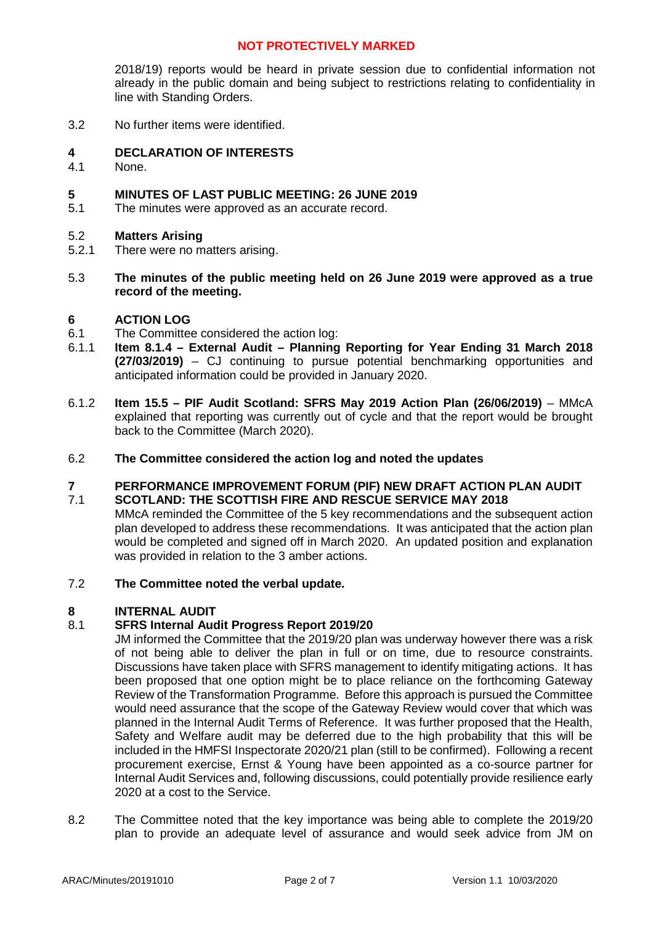2018/19) reports would be heard in private session due to confidential information not already in the public domain and being subject to restrictions relating to confidentiality in line with Standing Orders.

3.2 No further items were identified.

## **4 DECLARATION OF INTERESTS**

4.1 None.

## **5 MINUTES OF LAST PUBLIC MEETING: 26 JUNE 2019**

5.1 The minutes were approved as an accurate record.

## 5.2 **Matters Arising**

- 5.2.1 There were no matters arising.
- 5.3 **The minutes of the public meeting held on 26 June 2019 were approved as a true record of the meeting.**

## **6 ACTION LOG**

- 6.1 The Committee considered the action log:
- 6.1.1 **Item 8.1.4 – External Audit – Planning Reporting for Year Ending 31 March 2018 (27/03/2019)** – CJ continuing to pursue potential benchmarking opportunities and anticipated information could be provided in January 2020.
- 6.1.2 **Item 15.5 – PIF Audit Scotland: SFRS May 2019 Action Plan (26/06/2019)** – MMcA explained that reporting was currently out of cycle and that the report would be brought back to the Committee (March 2020).
- 6.2 **The Committee considered the action log and noted the updates**

#### **7** 7.1 **PERFORMANCE IMPROVEMENT FORUM (PIF) NEW DRAFT ACTION PLAN AUDIT SCOTLAND: THE SCOTTISH FIRE AND RESCUE SERVICE MAY 2018**

- MMcA reminded the Committee of the 5 key recommendations and the subsequent action plan developed to address these recommendations. It was anticipated that the action plan would be completed and signed off in March 2020. An updated position and explanation was provided in relation to the 3 amber actions.
- 7.2 **The Committee noted the verbal update.**

## **8 INTERNAL AUDIT**

## 8.1 **SFRS Internal Audit Progress Report 2019/20**

JM informed the Committee that the 2019/20 plan was underway however there was a risk of not being able to deliver the plan in full or on time, due to resource constraints. Discussions have taken place with SFRS management to identify mitigating actions. It has been proposed that one option might be to place reliance on the forthcoming Gateway Review of the Transformation Programme. Before this approach is pursued the Committee would need assurance that the scope of the Gateway Review would cover that which was planned in the Internal Audit Terms of Reference. It was further proposed that the Health, Safety and Welfare audit may be deferred due to the high probability that this will be included in the HMFSI Inspectorate 2020/21 plan (still to be confirmed). Following a recent procurement exercise, Ernst & Young have been appointed as a co-source partner for Internal Audit Services and, following discussions, could potentially provide resilience early 2020 at a cost to the Service.

8.2 The Committee noted that the key importance was being able to complete the 2019/20 plan to provide an adequate level of assurance and would seek advice from JM on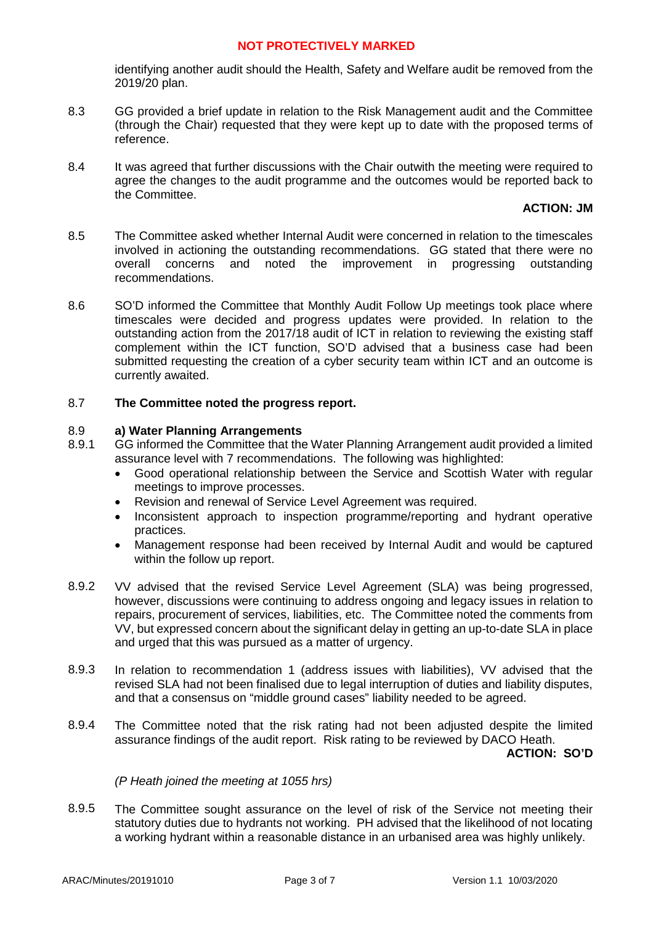identifying another audit should the Health, Safety and Welfare audit be removed from the 2019/20 plan.

- 8.3 GG provided a brief update in relation to the Risk Management audit and the Committee (through the Chair) requested that they were kept up to date with the proposed terms of reference.
- 8.4 It was agreed that further discussions with the Chair outwith the meeting were required to agree the changes to the audit programme and the outcomes would be reported back to the Committee.

## **ACTION: JM**

- 8.5 The Committee asked whether Internal Audit were concerned in relation to the timescales involved in actioning the outstanding recommendations. GG stated that there were no overall concerns and noted the improvement in progressing outstanding recommendations.
- 8.6 SO'D informed the Committee that Monthly Audit Follow Up meetings took place where timescales were decided and progress updates were provided. In relation to the outstanding action from the 2017/18 audit of ICT in relation to reviewing the existing staff complement within the ICT function, SO'D advised that a business case had been submitted requesting the creation of a cyber security team within ICT and an outcome is currently awaited.

## 8.7 **The Committee noted the progress report.**

### 8.9 **a) Water Planning Arrangements**

- 8.9.1 GG informed the Committee that the Water Planning Arrangement audit provided a limited assurance level with 7 recommendations. The following was highlighted:
	- Good operational relationship between the Service and Scottish Water with regular meetings to improve processes.
	- Revision and renewal of Service Level Agreement was required.
	- Inconsistent approach to inspection programme/reporting and hydrant operative practices.
	- Management response had been received by Internal Audit and would be captured within the follow up report.
- 8.9.2 VV advised that the revised Service Level Agreement (SLA) was being progressed, however, discussions were continuing to address ongoing and legacy issues in relation to repairs, procurement of services, liabilities, etc. The Committee noted the comments from VV, but expressed concern about the significant delay in getting an up-to-date SLA in place and urged that this was pursued as a matter of urgency.
- 8.9.3 In relation to recommendation 1 (address issues with liabilities), VV advised that the revised SLA had not been finalised due to legal interruption of duties and liability disputes, and that a consensus on "middle ground cases" liability needed to be agreed.
- 8.9.4 The Committee noted that the risk rating had not been adjusted despite the limited assurance findings of the audit report. Risk rating to be reviewed by DACO Heath.

**ACTION: SO'D**

## *(P Heath joined the meeting at 1055 hrs)*

8.9.5 The Committee sought assurance on the level of risk of the Service not meeting their statutory duties due to hydrants not working. PH advised that the likelihood of not locating a working hydrant within a reasonable distance in an urbanised area was highly unlikely.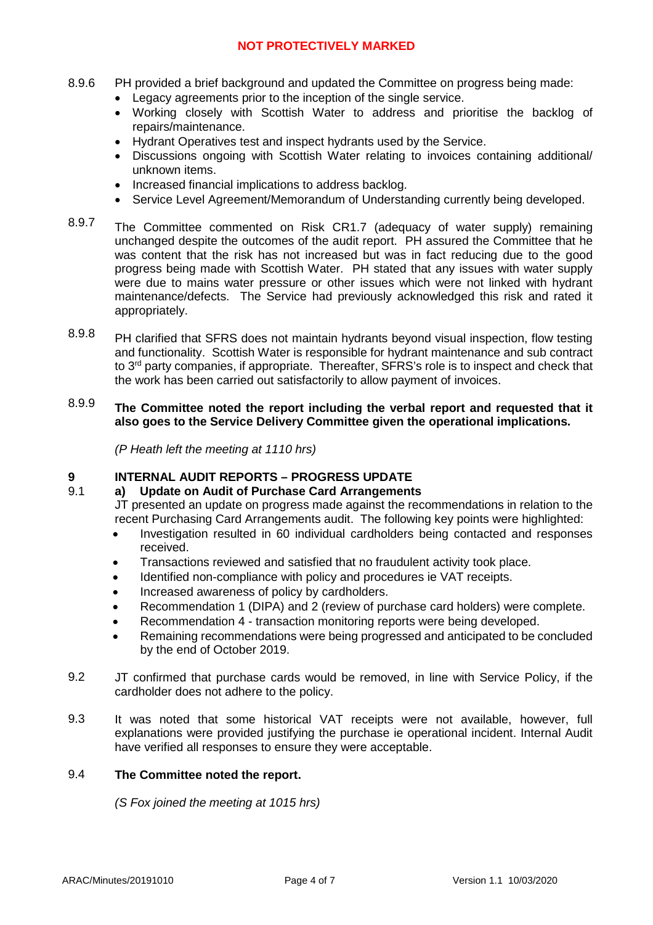- 8.9.6 PH provided a brief background and updated the Committee on progress being made:
	- Legacy agreements prior to the inception of the single service.
	- Working closely with Scottish Water to address and prioritise the backlog of repairs/maintenance.
	- Hydrant Operatives test and inspect hydrants used by the Service.
	- Discussions ongoing with Scottish Water relating to invoices containing additional/ unknown items.
	- Increased financial implications to address backlog.
	- Service Level Agreement/Memorandum of Understanding currently being developed.
- 8.9.7 The Committee commented on Risk CR1.7 (adequacy of water supply) remaining unchanged despite the outcomes of the audit report. PH assured the Committee that he was content that the risk has not increased but was in fact reducing due to the good progress being made with Scottish Water. PH stated that any issues with water supply were due to mains water pressure or other issues which were not linked with hydrant maintenance/defects. The Service had previously acknowledged this risk and rated it appropriately.
- 8.9.8 PH clarified that SFRS does not maintain hydrants beyond visual inspection, flow testing and functionality. Scottish Water is responsible for hydrant maintenance and sub contract to 3rd party companies, if appropriate. Thereafter, SFRS's role is to inspect and check that the work has been carried out satisfactorily to allow payment of invoices.

## 8.9.9 **The Committee noted the report including the verbal report and requested that it also goes to the Service Delivery Committee given the operational implications.**

*(P Heath left the meeting at 1110 hrs)*

## **9 INTERNAL AUDIT REPORTS – PROGRESS UPDATE**

- 9.1 **a) Update on Audit of Purchase Card Arrangements** JT presented an update on progress made against the recommendations in relation to the recent Purchasing Card Arrangements audit. The following key points were highlighted:
	- Investigation resulted in 60 individual cardholders being contacted and responses received.
	- Transactions reviewed and satisfied that no fraudulent activity took place.
	- Identified non-compliance with policy and procedures ie VAT receipts.
	- Increased awareness of policy by cardholders.
	- Recommendation 1 (DIPA) and 2 (review of purchase card holders) were complete.
	- Recommendation 4 transaction monitoring reports were being developed.
	- Remaining recommendations were being progressed and anticipated to be concluded by the end of October 2019.
- 9.2 JT confirmed that purchase cards would be removed, in line with Service Policy, if the cardholder does not adhere to the policy.
- 9.3 It was noted that some historical VAT receipts were not available, however, full explanations were provided justifying the purchase ie operational incident. Internal Audit have verified all responses to ensure they were acceptable.

## 9.4 **The Committee noted the report.**

*(S Fox joined the meeting at 1015 hrs)*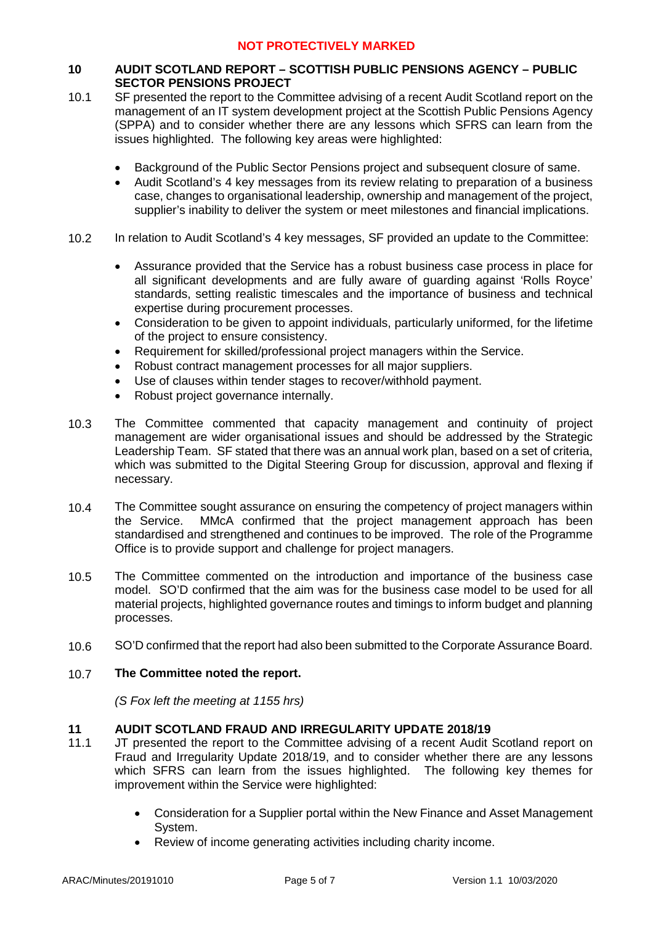# **10 AUDIT SCOTLAND REPORT – SCOTTISH PUBLIC PENSIONS AGENCY – PUBLIC SECTOR PENSIONS PROJECT**

- 10.1 SF presented the report to the Committee advising of a recent Audit Scotland report on the management of an IT system development project at the Scottish Public Pensions Agency (SPPA) and to consider whether there are any lessons which SFRS can learn from the issues highlighted. The following key areas were highlighted:
	- Background of the Public Sector Pensions project and subsequent closure of same.
	- Audit Scotland's 4 key messages from its review relating to preparation of a business case, changes to organisational leadership, ownership and management of the project, supplier's inability to deliver the system or meet milestones and financial implications.
- 10.2 In relation to Audit Scotland's 4 key messages, SF provided an update to the Committee:
	- Assurance provided that the Service has a robust business case process in place for all significant developments and are fully aware of guarding against 'Rolls Royce' standards, setting realistic timescales and the importance of business and technical expertise during procurement processes.
	- Consideration to be given to appoint individuals, particularly uniformed, for the lifetime of the project to ensure consistency.
	- Requirement for skilled/professional project managers within the Service.
	- Robust contract management processes for all major suppliers.
	- Use of clauses within tender stages to recover/withhold payment.
	- Robust project governance internally.
- 10.3 The Committee commented that capacity management and continuity of project management are wider organisational issues and should be addressed by the Strategic Leadership Team. SF stated that there was an annual work plan, based on a set of criteria, which was submitted to the Digital Steering Group for discussion, approval and flexing if necessary.
- 10.4 The Committee sought assurance on ensuring the competency of project managers within the Service. MMcA confirmed that the project management approach has been standardised and strengthened and continues to be improved. The role of the Programme Office is to provide support and challenge for project managers.
- 10.5 The Committee commented on the introduction and importance of the business case model. SO'D confirmed that the aim was for the business case model to be used for all material projects, highlighted governance routes and timings to inform budget and planning processes.
- 10.6 SO'D confirmed that the report had also been submitted to the Corporate Assurance Board.

### 10.7 **The Committee noted the report.**

*(S Fox left the meeting at 1155 hrs)*

## **11 AUDIT SCOTLAND FRAUD AND IRREGULARITY UPDATE 2018/19**

- 11.1 JT presented the report to the Committee advising of a recent Audit Scotland report on Fraud and Irregularity Update 2018/19, and to consider whether there are any lessons which SFRS can learn from the issues highlighted. The following key themes for improvement within the Service were highlighted:
	- Consideration for a Supplier portal within the New Finance and Asset Management System.
	- Review of income generating activities including charity income.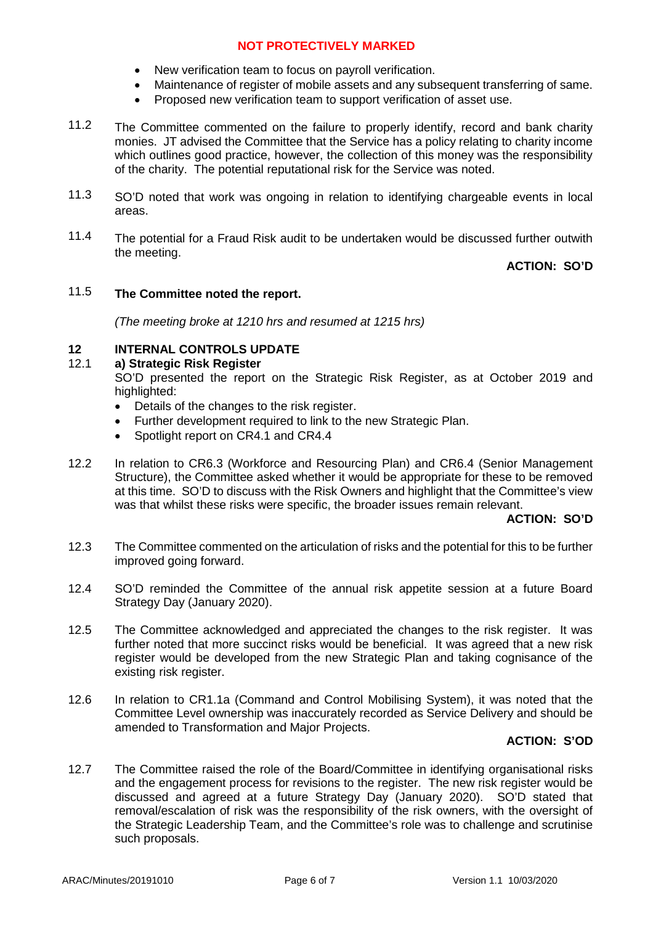- New verification team to focus on payroll verification.
- Maintenance of register of mobile assets and any subsequent transferring of same.
- Proposed new verification team to support verification of asset use.
- 11.2 The Committee commented on the failure to properly identify, record and bank charity monies. JT advised the Committee that the Service has a policy relating to charity income which outlines good practice, however, the collection of this money was the responsibility of the charity. The potential reputational risk for the Service was noted.
- 11.3 SO'D noted that work was ongoing in relation to identifying chargeable events in local areas.
- 11.4 The potential for a Fraud Risk audit to be undertaken would be discussed further outwith the meeting.

# **ACTION: SO'D**

## 11.5 **The Committee noted the report.**

*(The meeting broke at 1210 hrs and resumed at 1215 hrs)*

## **12 INTERNAL CONTROLS UPDATE**

### 12.1 **a) Strategic Risk Register**

SO'D presented the report on the Strategic Risk Register, as at October 2019 and highlighted:

- Details of the changes to the risk register.
- Further development required to link to the new Strategic Plan.
- Spotlight report on CR4.1 and CR4.4
- 12.2 In relation to CR6.3 (Workforce and Resourcing Plan) and CR6.4 (Senior Management Structure), the Committee asked whether it would be appropriate for these to be removed at this time. SO'D to discuss with the Risk Owners and highlight that the Committee's view was that whilst these risks were specific, the broader issues remain relevant.

## **ACTION: SO'D**

- 12.3 The Committee commented on the articulation of risks and the potential for this to be further improved going forward.
- 12.4 SO'D reminded the Committee of the annual risk appetite session at a future Board Strategy Day (January 2020).
- 12.5 The Committee acknowledged and appreciated the changes to the risk register. It was further noted that more succinct risks would be beneficial. It was agreed that a new risk register would be developed from the new Strategic Plan and taking cognisance of the existing risk register.
- 12.6 In relation to CR1.1a (Command and Control Mobilising System), it was noted that the Committee Level ownership was inaccurately recorded as Service Delivery and should be amended to Transformation and Major Projects.

## **ACTION: S'OD**

12.7 The Committee raised the role of the Board/Committee in identifying organisational risks and the engagement process for revisions to the register. The new risk register would be discussed and agreed at a future Strategy Day (January 2020). SO'D stated that removal/escalation of risk was the responsibility of the risk owners, with the oversight of the Strategic Leadership Team, and the Committee's role was to challenge and scrutinise such proposals.